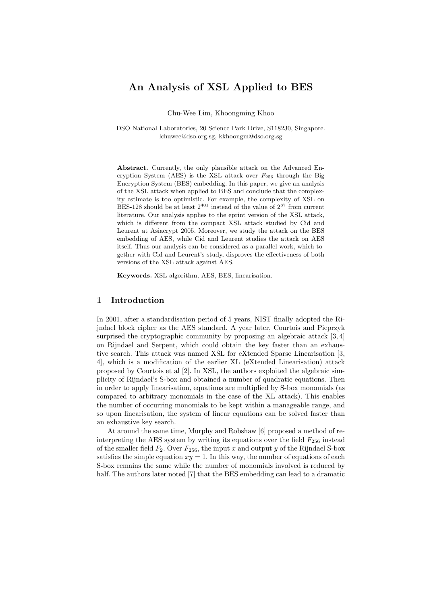# An Analysis of XSL Applied to BES

Chu-Wee Lim, Khoongming Khoo

DSO National Laboratories, 20 Science Park Drive, S118230, Singapore. lchuwee@dso.org.sg, kkhoongm@dso.org.sg

Abstract. Currently, the only plausible attack on the Advanced Encryption System (AES) is the XSL attack over  $F_{256}$  through the Big Encryption System (BES) embedding. In this paper, we give an analysis of the XSL attack when applied to BES and conclude that the complexity estimate is too optimistic. For example, the complexity of XSL on BES-128 should be at least  $2^{401}$  instead of the value of  $2^{87}$  from current literature. Our analysis applies to the eprint version of the XSL attack, which is different from the compact XSL attack studied by Cid and Leurent at Asiacrypt 2005. Moreover, we study the attack on the BES embedding of AES, while Cid and Leurent studies the attack on AES itself. Thus our analysis can be considered as a parallel work, which together with Cid and Leurent's study, disproves the effectiveness of both versions of the XSL attack against AES.

Keywords. XSL algorithm, AES, BES, linearisation.

# 1 Introduction

In 2001, after a standardisation period of 5 years, NIST finally adopted the Rijndael block cipher as the AES standard. A year later, Courtois and Pieprzyk surprised the cryptographic community by proposing an algebraic attack [3, 4] on Rijndael and Serpent, which could obtain the key faster than an exhaustive search. This attack was named XSL for eXtended Sparse Linearisation [3, 4], which is a modification of the earlier XL (eXtended Linearisation) attack proposed by Courtois et al [2]. In XSL, the authors exploited the algebraic simplicity of Rijndael's S-box and obtained a number of quadratic equations. Then in order to apply linearisation, equations are multiplied by S-box monomials (as compared to arbitrary monomials in the case of the XL attack). This enables the number of occurring monomials to be kept within a manageable range, and so upon linearisation, the system of linear equations can be solved faster than an exhaustive key search.

At around the same time, Murphy and Robshaw [6] proposed a method of reinterpreting the AES system by writing its equations over the field  $F_{256}$  instead of the smaller field  $F_2$ . Over  $F_{256}$ , the input x and output y of the Rijndael S-box satisfies the simple equation  $xy = 1$ . In this way, the number of equations of each S-box remains the same while the number of monomials involved is reduced by half. The authors later noted [7] that the BES embedding can lead to a dramatic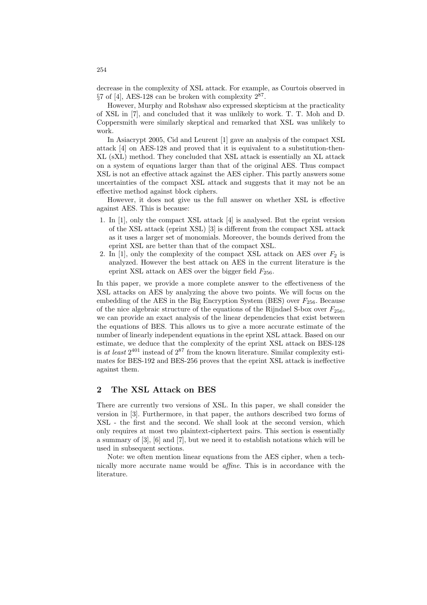decrease in the complexity of XSL attack. For example, as Courtois observed in  $\S 7$  of [4], AES-128 can be broken with complexity  $2^{87}$ .

However, Murphy and Robshaw also expressed skepticism at the practicality of XSL in [7], and concluded that it was unlikely to work. T. T. Moh and D. Coppersmith were similarly skeptical and remarked that XSL was unlikely to work.

In Asiacrypt 2005, Cid and Leurent [1] gave an analysis of the compact XSL attack [4] on AES-128 and proved that it is equivalent to a substitution-then-XL (sXL) method. They concluded that XSL attack is essentially an XL attack on a system of equations larger than that of the original AES. Thus compact XSL is not an effective attack against the AES cipher. This partly answers some uncertainties of the compact XSL attack and suggests that it may not be an effective method against block ciphers.

However, it does not give us the full answer on whether XSL is effective against AES. This is because:

- 1. In [1], only the compact XSL attack [4] is analysed. But the eprint version of the XSL attack (eprint XSL) [3] is different from the compact XSL attack as it uses a larger set of monomials. Moreover, the bounds derived from the eprint XSL are better than that of the compact XSL.
- 2. In [1], only the complexity of the compact XSL attack on AES over  $F_2$  is analyzed. However the best attack on AES in the current literature is the eprint XSL attack on AES over the bigger field  $F_{256}$ .

In this paper, we provide a more complete answer to the effectiveness of the XSL attacks on AES by analyzing the above two points. We will focus on the embedding of the AES in the Big Encryption System (BES) over  $F_{256}$ . Because of the nice algebraic structure of the equations of the Rijndael S-box over  $F_{256}$ , we can provide an exact analysis of the linear dependencies that exist between the equations of BES. This allows us to give a more accurate estimate of the number of linearly independent equations in the eprint XSL attack. Based on our estimate, we deduce that the complexity of the eprint XSL attack on BES-128 is at least  $2^{401}$  instead of  $2^{87}$  from the known literature. Similar complexity estimates for BES-192 and BES-256 proves that the eprint XSL attack is ineffective against them.

# 2 The XSL Attack on BES

There are currently two versions of XSL. In this paper, we shall consider the version in [3]. Furthermore, in that paper, the authors described two forms of XSL - the first and the second. We shall look at the second version, which only requires at most two plaintext-ciphertext pairs. This section is essentially a summary of [3], [6] and [7], but we need it to establish notations which will be used in subsequent sections.

Note: we often mention linear equations from the AES cipher, when a technically more accurate name would be affine. This is in accordance with the literature.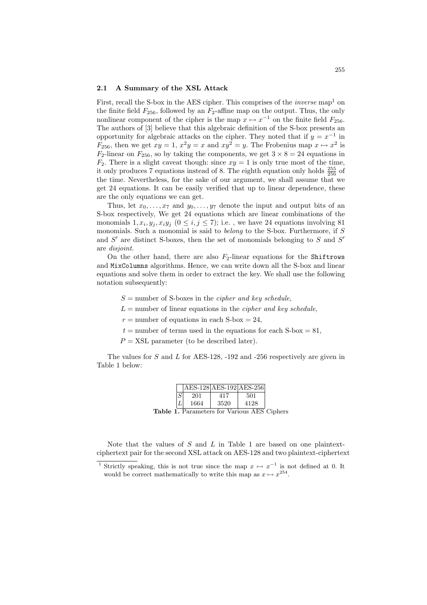#### 2.1 A Summary of the XSL Attack

First, recall the S-box in the AES cipher. This comprises of the *inverse* map<sup>1</sup> on the finite field  $F_{256}$ , followed by an  $F_2$ -affine map on the output. Thus, the only nonlinear component of the cipher is the map  $x \mapsto x^{-1}$  on the finite field  $F_{256}$ . The authors of [3] believe that this algebraic definition of the S-box presents an opportunity for algebraic attacks on the cipher. They noted that if  $y = x^{-1}$  in  $F_{256}$ , then we get  $xy = 1$ ,  $x^2y = x$  and  $xy^2 = y$ . The Frobenius map  $x \mapsto x^2$  is  $F_2$ -linear on  $F_{256}$ , so by taking the components, we get  $3 \times 8 = 24$  equations in  $F_2$ . There is a slight caveat though: since  $xy = 1$  is only true most of the time, it only produces 7 equations instead of 8. The eighth equation only holds  $\frac{255}{256}$  of the time. Nevertheless, for the sake of our argument, we shall assume that we get 24 equations. It can be easily verified that up to linear dependence, these are the only equations we can get.

Thus, let  $x_0, \ldots, x_7$  and  $y_0, \ldots, y_7$  denote the input and output bits of an S-box respectively, We get 24 equations which are linear combinations of the monomials  $1, x_i, y_j, x_iy_j \ (0 \leq i, j \leq 7)$ ; i.e., we have 24 equations involving 81 monomials. Such a monomial is said to *belong* to the S-box. Furthermore, if  $S$ and  $S'$  are distinct S-boxes, then the set of monomials belonging to  $S$  and  $S'$ are disjoint.

On the other hand, there are also  $F_2$ -linear equations for the Shiftrows and MixColumns algorithms. Hence, we can write down all the S-box and linear equations and solve them in order to extract the key. We shall use the following notation subsequently:

 $S =$  number of S-boxes in the *cipher and key schedule*,

 $L =$  number of linear equations in the *cipher and key schedule*,

 $r =$  number of equations in each S-box = 24,

 $t =$  number of terms used in the equations for each S-box = 81,

 $P = XSL$  parameter (to be described later).

The values for S and L for AES-128, -192 and -256 respectively are given in Table 1 below:

|                                                    |  | $ AES-128 AES-192 AES-256 $ |      |      |  |
|----------------------------------------------------|--|-----------------------------|------|------|--|
|                                                    |  | 201                         | 417  | 501  |  |
|                                                    |  | 1664                        | 3520 | 4128 |  |
| <b>Table 1.</b> Parameters for Various AES Ciphers |  |                             |      |      |  |

Note that the values of  $S$  and  $L$  in Table 1 are based on one plaintextciphertext pair for the second XSL attack on AES-128 and two plaintext-ciphertext

<sup>&</sup>lt;sup>1</sup> Strictly speaking, this is not true since the map  $x \mapsto x^{-1}$  is not defined at 0. It would be correct mathematically to write this map as  $x \mapsto x^{254}$ .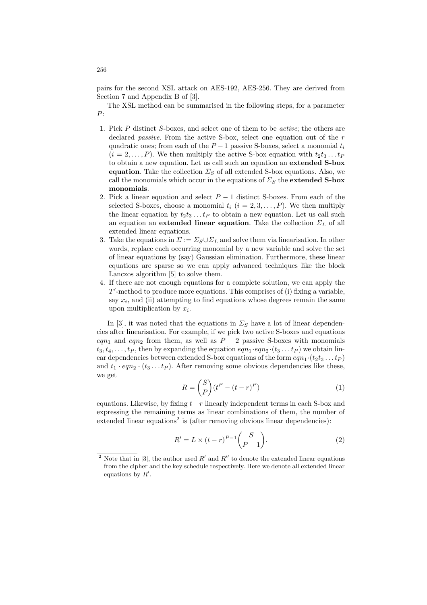pairs for the second XSL attack on AES-192, AES-256. They are derived from Section 7 and Appendix B of [3].

The XSL method can be summarised in the following steps, for a parameter P:

- 1. Pick P distinct S-boxes, and select one of them to be active; the others are declared *passive*. From the active S-box, select one equation out of the r quadratic ones; from each of the  $P-1$  passive S-boxes, select a monomial  $t_i$  $(i = 2, \ldots, P)$ . We then multiply the active S-box equation with  $t_2t_3 \ldots t_P$ to obtain a new equation. Let us call such an equation an extended S-box equation. Take the collection  $\Sigma_S$  of all extended S-box equations. Also, we call the monomials which occur in the equations of  $\Sigma_S$  the extended S-box monomials.
- 2. Pick a linear equation and select  $P-1$  distinct S-boxes. From each of the selected S-boxes, choose a monomial  $t_i$   $(i = 2, 3, \ldots, P)$ . We then multiply the linear equation by  $t_2t_3 \tldots t_P$  to obtain a new equation. Let us call such an equation an extended linear equation. Take the collection  $\Sigma_L$  of all extended linear equations.
- 3. Take the equations in  $\Sigma := \Sigma_S \cup \Sigma_L$  and solve them via linearisation. In other words, replace each occurring monomial by a new variable and solve the set of linear equations by (say) Gaussian elimination. Furthermore, these linear equations are sparse so we can apply advanced techniques like the block Lanczos algorithm [5] to solve them.
- 4. If there are not enough equations for a complete solution, we can apply the  $T'$ -method to produce more equations. This comprises of (i) fixing a variable, say  $x_i$ , and (ii) attempting to find equations whose degrees remain the same upon multiplication by  $x_i$ .

In [3], it was noted that the equations in  $\Sigma_S$  have a lot of linear dependencies after linearisation. For example, if we pick two active S-boxes and equations eqn<sub>1</sub> and eqn<sub>2</sub> from them, as well as  $P-2$  passive S-boxes with monomials  $t_3, t_4, \ldots, t_P$ , then by expanding the equation  $eqn_1 \cdot eqn_2 \cdot (t_3 \ldots t_P)$  we obtain linear dependencies between extended S-box equations of the form  $eqn_1 \cdot (t_2t_3 \dots t_P)$ and  $t_1 \cdot eqn_2 \cdot (t_3 \dots t_P)$ . After removing some obvious dependencies like these, we get  $\overline{a}$  $\mathbf{r}$ 

$$
R = \binom{S}{P} (t^P - (t - r)^P) \tag{1}
$$

equations. Likewise, by fixing  $t-r$  linearly independent terms in each S-box and expressing the remaining terms as linear combinations of them, the number of  $extended linear equations<sup>2</sup> is (after removing obvious linear dependencies):$ 

$$
R' = L \times (t - r)^{P-1} {S \choose P-1}.
$$
 (2)

256

<sup>&</sup>lt;sup>2</sup> Note that in [3], the author used  $R'$  and  $R''$  to denote the extended linear equations from the cipher and the key schedule respectively. Here we denote all extended linear equations by  $R'$ .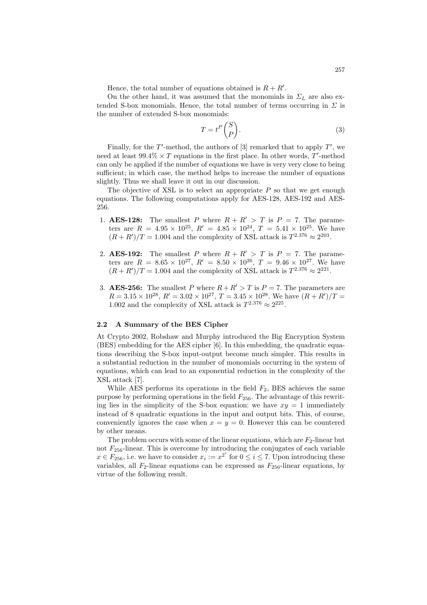Hence, the total number of equations obtained is  $R + R'$ .

On the other hand, it was assumed that the monomials in  $\Sigma_L$  are also extended S-box monomials. Hence, the total number of terms occurring in  $\Sigma$  is the number of extended S-box monomials:  $\mathbf{r}$ 

$$
T = t^P \binom{S}{P}.\tag{3}
$$

Finally, for the  $T'$ -method, the authors of [3] remarked that to apply  $T'$ , we need at least  $99.4\% \times T$  equations in the first place. In other words, T'-method can only be applied if the number of equations we have is very very close to being sufficient; in which case, the method helps to increase the number of equations slightly. Thus we shall leave it out in our discussion.

The objective of XSL is to select an appropriate  $P$  so that we get enough equations. The following computations apply for AES-128, AES-192 and AES-256.

- 1. **AES-128:** The smallest P where  $R + R' > T$  is  $P = 7$ . The parameters are  $R = 4.95 \times 10^{25}$ ,  $R' = 4.85 \times 10^{24}$ ,  $T = 5.41 \times 10^{25}$ . We have  $(R + R')/T = 1.004$  and the complexity of XSL attack is  $T^{2.376} \approx 2^{203}$ .
- 2. **AES-192:** The smallest P where  $R + R' > T$  is  $P = 7$ . The parameters are  $R = 8.65 \times 10^{27}$ ,  $R' = 8.50 \times 10^{26}$ ,  $T = 9.46 \times 10^{27}$ . We have  $(R + R')/T = 1.004$  and the complexity of XSL attack is  $T^{2.376} \approx 2^{221}$ .
- 3. **AES-256:** The smallest P where  $R + R' > T$  is  $P = 7$ . The parameters are  $R = 3.15 \times 10^{28}$ ,  $R' = 3.02 \times 10^{27}$ ,  $T = 3.45 \times 10^{28}$ . We have  $(R + R')/T =$ 1.002 and the complexity of XSL attack is  $T^{2.376} \approx 2^{225}$ .

#### 2.2 A Summary of the BES Cipher

At Crypto 2002, Robshaw and Murphy introduced the Big Encryption System (BES) embedding for the AES cipher [6]. In this embedding, the quadratic equations describing the S-box input-output become much simpler. This results in a substantial reduction in the number of monomials occurring in the system of equations, which can lead to an exponential reduction in the complexity of the XSL attack [7].

While AES performs its operations in the field  $F_2$ , BES achieves the same purpose by performing operations in the field  $F_{256}$ . The advantage of this rewriting lies in the simplicity of the S-box equation: we have  $xy = 1$  immediately instead of 8 quadratic equations in the input and output bits. This, of course, conveniently ignores the case when  $x = y = 0$ . However this can be countered by other means.

The problem occurs with some of the linear equations, which are  $F_2$ -linear but not  $F_{256}$ -linear. This is overcome by introducing the conjugates of each variable  $x \in F_{256}$ , i.e. we have to consider  $x_i := x^{2^i}$  for  $0 \le i \le 7$ . Upon introducing these variables, all  $F_2$ -linear equations can be expressed as  $F_{256}$ -linear equations, by virtue of the following result.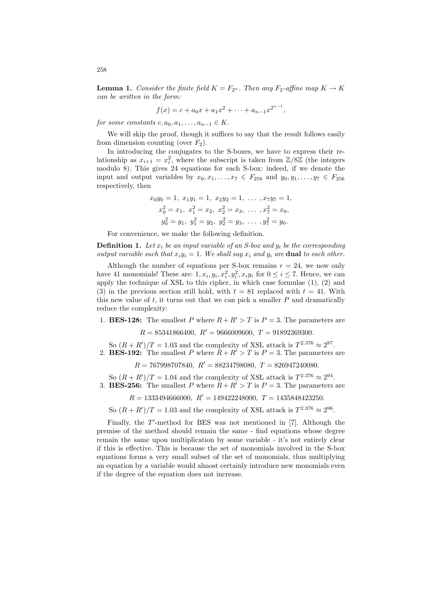**Lemma 1.** Consider the finite field  $K = F_{2^n}$ . Then any  $F_2$ -affine map  $K \to K$ can be written in the form:

$$
f(x) = c + a_0 x + a_1 x^2 + \dots + a_{n-1} x^{2^{n-1}},
$$

for some constants  $c, a_0, a_1, \ldots, a_{n-1} \in K$ .

We will skip the proof, though it suffices to say that the result follows easily from dimension counting (over  $F_2$ ).

In introducing the conjugates to the S-boxes, we have to express their relationship as  $x_{i+1} = x_i^2$ , where the subscript is taken from  $\mathbb{Z}/8\mathbb{Z}$  (the integers modulo 8). This gives 24 equations for each S-box: indeed, if we denote the input and output variables by  $x_0, x_1, \ldots, x_7 \in F_{256}$  and  $y_0, y_1, \ldots, y_7 \in F_{256}$ respectively, then

$$
x_0y_0 = 1
$$
,  $x_1y_1 = 1$ ,  $x_2y_2 = 1$ , ...,  $x_7y_7 = 1$ ,  
\n $x_0^2 = x_1$ ,  $x_1^2 = x_2$ ,  $x_2^2 = x_3$ , ...,  $x_7^2 = x_0$ ,  
\n $y_0^2 = y_1$ ,  $y_1^2 = y_2$ ,  $y_2^2 = y_3$ , ...,  $y_7^2 = y_0$ .

For convenience, we make the following definition.

**Definition 1.** Let  $x_i$  be an input variable of an S-box and  $y_i$  be the corresponding output variable such that  $x_i y_i = 1$ . We shall say  $x_i$  and  $y_i$  are **dual** to each other.

Although the number of equations per S-box remains  $r = 24$ , we now only have 41 monomials! These are:  $1, x_i, y_i, x_i^2, y_i^2, x_i y_i$  for  $0 \le i \le 7$ . Hence, we can apply the technique of XSL to this cipher, in which case formulae (1), (2) and (3) in the previous section still hold, with  $t = 81$  replaced with  $t = 41$ . With this new value of  $t$ , it turns out that we can pick a smaller  $P$  and dramatically reduce the complexity:

1. **BES-128:** The smallest P where  $R + R' > T$  is  $P = 3$ . The parameters are

 $R = 85341866400$ ,  $R' = 9666009600$ ,  $T = 91892369300$ .

So  $(R + R')/T = 1.03$  and the complexity of XSL attack is  $T^{2.376} \approx 2^{87}$ . 2. **BES-192:** The smallest P where  $R + R' > T$  is  $P = 3$ . The parameters are

 $R = 767998707840$ ,  $R' = 88234798080$ ,  $T = 826947240080$ .

So  $(R + R')/T = 1.04$  and the complexity of XSL attack is  $T^{2.376} \approx 2^{94}$ . 3. **BES-256:** The smallest P where  $R + R' > T$  is  $P = 3$ . The parameters are

 $R = 1333494666000$ ,  $R' = 149422248000$ ,  $T = 1435848423250$ .

So  $(R + R')/T = 1.03$  and the complexity of XSL attack is  $T^{2.376} \approx 2^{96}$ .

Finally, the  $T'$ -method for BES was not mentioned in  $[7]$ . Although the premise of the method should remain the same - find equations whose degree remain the same upon multiplication by some variable - it's not entirely clear if this is effective. This is because the set of monomials involved in the S-box equations forms a very small subset of the set of monomials, thus multiplying an equation by a variable would almost certainly introduce new monomials even if the degree of the equation does not increase.

258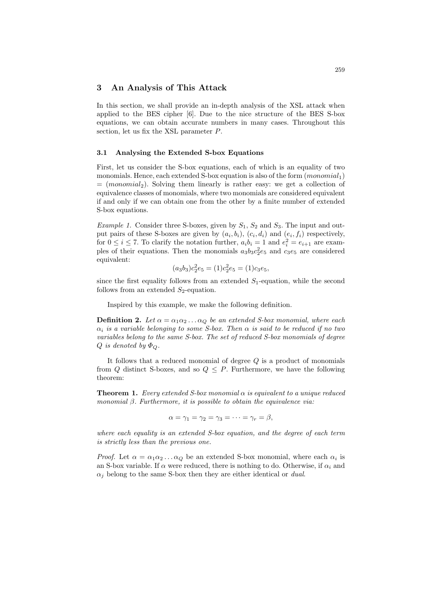# 3 An Analysis of This Attack

In this section, we shall provide an in-depth analysis of the XSL attack when applied to the BES cipher [6]. Due to the nice structure of the BES S-box equations, we can obtain accurate numbers in many cases. Throughout this section, let us fix the XSL parameter P.

#### 3.1 Analysing the Extended S-box Equations

First, let us consider the S-box equations, each of which is an equality of two monomials. Hence, each extended S-box equation is also of the form  $(monomial<sub>1</sub>)$  $=$  (monomial<sub>2</sub>). Solving them linearly is rather easy: we get a collection of equivalence classes of monomials, where two monomials are considered equivalent if and only if we can obtain one from the other by a finite number of extended S-box equations.

*Example 1.* Consider three S-boxes, given by  $S_1$ ,  $S_2$  and  $S_3$ . The input and output pairs of these S-boxes are given by  $(a_i, b_i)$ ,  $(c_i, d_i)$  and  $(e_i, f_i)$  respectively, for  $0 \le i \le 7$ . To clarify the notation further,  $a_i b_i = 1$  and  $e_i^2 = e_{i+1}$  are examples of their equations. Then the monomials  $a_3b_3c_2^2e_5$  and  $c_3e_5$  are considered equivalent:

$$
(a_3b_3)c_2^2e_5 = (1)c_2^2e_5 = (1)c_3e_5,
$$

since the first equality follows from an extended  $S_1$ -equation, while the second follows from an extended  $S_2$ -equation.

Inspired by this example, we make the following definition.

**Definition 2.** Let  $\alpha = \alpha_1 \alpha_2 \ldots \alpha_Q$  be an extended S-box monomial, where each  $\alpha_i$  is a variable belonging to some S-box. Then  $\alpha$  is said to be reduced if no two variables belong to the same S-box. The set of reduced S-box monomials of degree  $Q$  is denoted by  $\Phi_{Q}$ .

It follows that a reduced monomial of degree  $Q$  is a product of monomials from Q distinct S-boxes, and so  $Q \leq P$ . Furthermore, we have the following theorem:

**Theorem 1.** Every extended S-box monomial  $\alpha$  is equivalent to a unique reduced monomial  $\beta$ . Furthermore, it is possible to obtain the equivalence via:

$$
\alpha = \gamma_1 = \gamma_2 = \gamma_3 = \cdots = \gamma_r = \beta,
$$

where each equality is an extended S-box equation, and the degree of each term is strictly less than the previous one.

*Proof.* Let  $\alpha = \alpha_1 \alpha_2 \ldots \alpha_Q$  be an extended S-box monomial, where each  $\alpha_i$  is an S-box variable. If  $\alpha$  were reduced, there is nothing to do. Otherwise, if  $\alpha_i$  and  $\alpha_i$  belong to the same S-box then they are either identical or *dual*.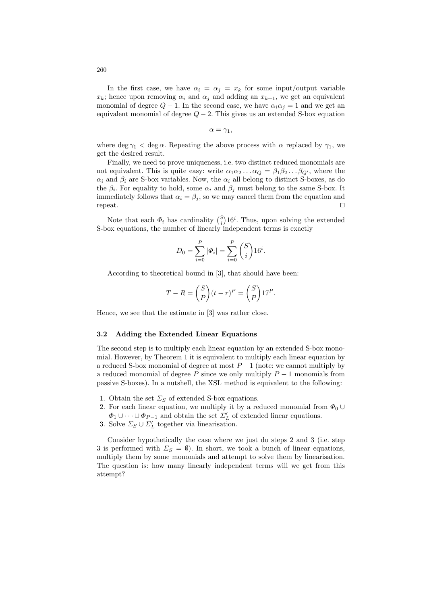In the first case, we have  $\alpha_i = \alpha_j = x_k$  for some input/output variable  $x_k$ ; hence upon removing  $\alpha_i$  and  $\alpha_j$  and adding an  $x_{k+1}$ , we get an equivalent monomial of degree  $Q - 1$ . In the second case, we have  $\alpha_i \alpha_j = 1$  and we get an equivalent monomial of degree  $Q - 2$ . This gives us an extended S-box equation

 $\alpha = \gamma_1,$ 

where deg  $\gamma_1$  < deg  $\alpha$ . Repeating the above process with  $\alpha$  replaced by  $\gamma_1$ , we get the desired result.

Finally, we need to prove uniqueness, i.e. two distinct reduced monomials are not equivalent. This is quite easy: write  $\alpha_1 \alpha_2 \ldots \alpha_Q = \beta_1 \beta_2 \ldots \beta_{Q'}$ , where the  $\alpha_i$  and  $\beta_i$  are S-box variables. Now, the  $\alpha_i$  all belong to distinct S-boxes, as do the  $\beta_i$ . For equality to hold, some  $\alpha_i$  and  $\beta_j$  must belong to the same S-box. It immediately follows that  $\alpha_i = \beta_i$ , so we may cancel them from the equation and  $\Box$  repeat.

Note that each  $\Phi_i$  has cardinality  $\binom{S}{i}$  $16^i$ . Thus, upon solving the extended S-box equations, the number of linearly independent terms is exactly

$$
D_0 = \sum_{i=0}^{P} |\Phi_i| = \sum_{i=0}^{P} {S \choose i} 16^i.
$$

According to theoretical bound in [3], that should have been:

$$
T - R = {S \choose P} (t - r)^P = {S \choose P} 17^P.
$$

Hence, we see that the estimate in [3] was rather close.

#### 3.2 Adding the Extended Linear Equations

The second step is to multiply each linear equation by an extended S-box monomial. However, by Theorem 1 it is equivalent to multiply each linear equation by a reduced S-box monomial of degree at most  $P-1$  (note: we cannot multiply by a reduced monomial of degree P since we only multiply  $P-1$  monomials from passive S-boxes). In a nutshell, the XSL method is equivalent to the following:

- 1. Obtain the set  $\Sigma<sub>S</sub>$  of extended S-box equations.
- 2. For each linear equation, we multiply it by a reduced monomial from  $\Phi_0 \cup$
- $\Phi_1 \cup \cdots \cup \Phi_{P-1}$  and obtain the set  $\Sigma_L'$  of extended linear equations.
- 3. Solve  $\Sigma_S \cup \Sigma_L'$  together via linearisation.

Consider hypothetically the case where we just do steps 2 and 3 (i.e. step 3 is performed with  $\Sigma_S = \emptyset$ ). In short, we took a bunch of linear equations, multiply them by some monomials and attempt to solve them by linearisation. The question is: how many linearly independent terms will we get from this attempt?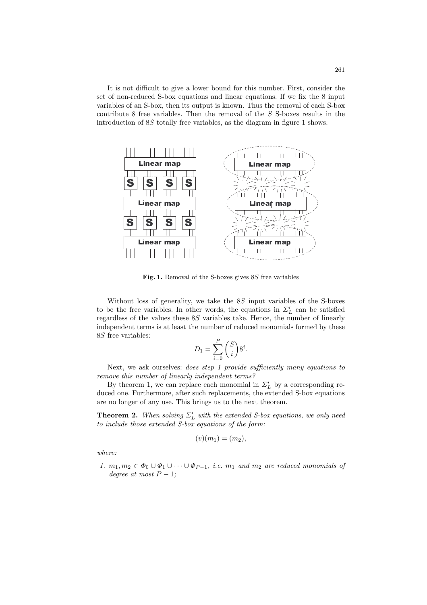It is not difficult to give a lower bound for this number. First, consider the set of non-reduced S-box equations and linear equations. If we fix the 8 input variables of an S-box, then its output is known. Thus the removal of each S-box contribute 8 free variables. Then the removal of the S S-boxes results in the introduction of 8S totally free variables, as the diagram in figure 1 shows.



Fig. 1. Removal of the S-boxes gives 8S free variables

Without loss of generality, we take the 8S input variables of the S-boxes to be the free variables. In other words, the equations in  $\mathcal{L}_L'$  can be satisfied regardless of the values these 8S variables take. Hence, the number of linearly independent terms is at least the number of reduced monomials formed by these 8S free variables:

$$
D_1 = \sum_{i=0}^{P} \binom{S}{i} 8^i.
$$

Next, we ask ourselves: *does step 1 provide sufficiently many equations to* remove this number of linearly independent terms?

By theorem 1, we can replace each monomial in  $\Sigma_L'$  by a corresponding reduced one. Furthermore, after such replacements, the extended S-box equations are no longer of any use. This brings us to the next theorem.

**Theorem 2.** When solving  $\Sigma'_{L}$  with the extended S-box equations, we only need to include those extended  $S$ -box equations of the form:

$$
(v)(m_1)=(m_2),
$$

where:

1.  $m_1, m_2 \in \Phi_0 \cup \Phi_1 \cup \cdots \cup \Phi_{P-1}$ , i.e.  $m_1$  and  $m_2$  are reduced monomials of degree at most  $P-1$ ;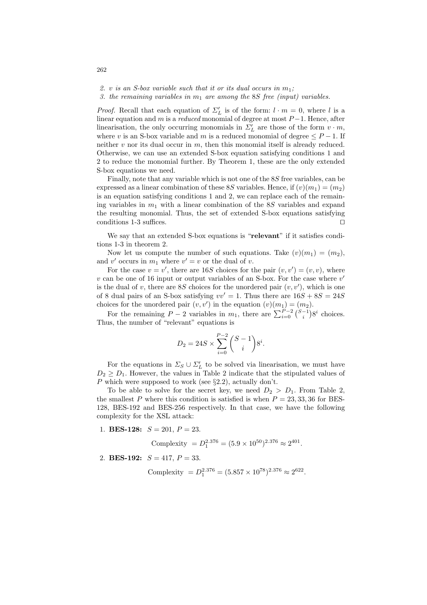2. v is an S-box variable such that it or its dual occurs in  $m_1$ ;

3. the remaining variables in  $m_1$  are among the SS free (input) variables.

*Proof.* Recall that each equation of  $\Sigma'_{L}$  is of the form:  $l \cdot m = 0$ , where l is a linear equation and m is a reduced monomial of degree at most  $P-1$ . Hence, after linearisation, the only occurring monomials in  $\Sigma'_{L}$  are those of the form  $v \cdot m$ , where v is an S-box variable and m is a reduced monomial of degree  $\leq P-1$ . If neither  $v$  nor its dual occur in  $m$ , then this monomial itself is already reduced. Otherwise, we can use an extended S-box equation satisfying conditions 1 and 2 to reduce the monomial further. By Theorem 1, these are the only extended S-box equations we need.

Finally, note that any variable which is not one of the 8S free variables, can be expressed as a linear combination of these 8S variables. Hence, if  $(v)(m_1) = (m_2)$ is an equation satisfying conditions 1 and 2, we can replace each of the remaining variables in  $m_1$  with a linear combination of the 8S variables and expand the resulting monomial. Thus, the set of extended S-box equations satisfying conditions 1-3 suffices.  $\Box$ 

We say that an extended S-box equations is "relevant" if it satisfies conditions 1-3 in theorem 2.

Now let us compute the number of such equations. Take  $(v)(m_1) = (m_2)$ , and v' occurs in  $m_1$  where  $v' = v$  or the dual of v.

For the case  $v = v'$ , there are 16S choices for the pair  $(v, v') = (v, v)$ , where  $v$  can be one of 16 input or output variables of an S-box. For the case where  $v'$ is the dual of v, there are 8S choices for the unordered pair  $(v, v')$ , which is one of 8 dual pairs of an S-box satisfying  $vv' = 1$ . Thus there are  $16S + 8S = 24S$  $\frac{1}{2}$ 

choices for the unordered pair  $(v, v')$  in the equation  $(v)(m_1) = (m_2)$ .<br>For the remaining  $P - 2$  variables in  $m_1$ , there are  $\sum_{i=0}^{P-2} {\binom{S-1}{i}}$  $8^i$  choices. Thus, the number of "relevant" equations is

$$
D_2 = 24S \times \sum_{i=0}^{P-2} {S-1 \choose i} 8^i.
$$

For the equations in  $\Sigma_S \cup \Sigma_L'$  to be solved via linearisation, we must have  $D_2 \geq D_1$ . However, the values in Table 2 indicate that the stipulated values of P which were supposed to work (see  $\S 2.2$ ), actually don't.

To be able to solve for the secret key, we need  $D_2 > D_1$ . From Table 2, the smallest P where this condition is satisfied is when  $P = 23, 33, 36$  for BES-128, BES-192 and BES-256 respectively. In that case, we have the following complexity for the XSL attack:

1. **BES-128:**  $S = 201$ ,  $P = 23$ .

Complexity =  $D_1^{2.376} = (5.9 \times 10^{50})^{2.376} \approx 2^{401}$ .

2. **BES-192:**  $S = 417$ ,  $P = 33$ .

Complexity =  $D_1^{2.376} = (5.857 \times 10^{78})^{2.376} \approx 2^{622}$ .

262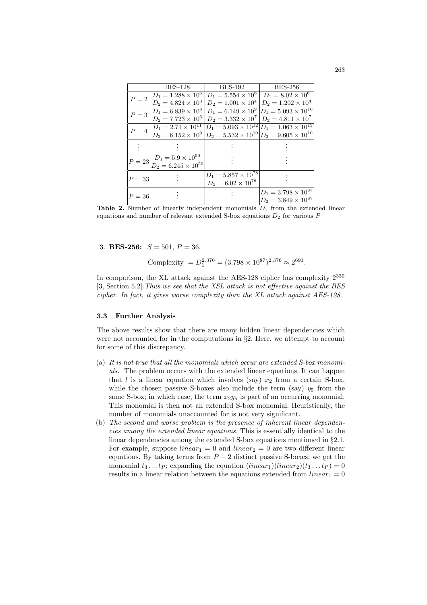|          | <b>BES-128</b>                                                                           | <b>BES-192</b>                                                                                 | <b>BES-256</b>                                                    |
|----------|------------------------------------------------------------------------------------------|------------------------------------------------------------------------------------------------|-------------------------------------------------------------------|
| $P=2$    | $D_1 = 1.288 \times 10^6$                                                                | $D_1 = 5.554 \times 10^6$                                                                      | $D_1 = 8.02 \times \overline{10^6}$                               |
|          | $D_2 = 4.824 \times 10^3$                                                                | $D_2 = 1.001 \times 10^4$                                                                      | $D_2 = 1.202 \times 10^4$                                         |
| $P=3$    | $D_1 = 6.839 \times 10^8$                                                                |                                                                                                | $D_1 = 6.149 \times 10^9$ $\overline{D_1} = 5.093 \times 10^{10}$ |
|          | $D_2 = 7.723 \times 10^6$                                                                | $D_2 = 3.332 \times 10^7$                                                                      | $D_2 = 4.811 \times 10^7$                                         |
| $P=4$    | $D_1 = 2.71 \times 10^{11}$                                                              |                                                                                                | $D_1 = 5.093 \times 10^{12}  D_1 = 1.063 \times 10^{13}$          |
|          |                                                                                          | $D_2 = 6.152 \times 10^9 \left  D_2 = 5.532 \times 10^{10} \right  D_2 = 9.605 \times 10^{10}$ |                                                                   |
|          |                                                                                          |                                                                                                |                                                                   |
|          |                                                                                          |                                                                                                |                                                                   |
| $P = 23$ | $\begin{aligned} D_1 &= 5.9 \times 10^{50} \\ D_2 &= 6.245 \times 10^{50} \end{aligned}$ |                                                                                                |                                                                   |
|          |                                                                                          |                                                                                                |                                                                   |
| $P = 33$ |                                                                                          | $D_1 = 5.857 \times 10^{78}$                                                                   |                                                                   |
|          |                                                                                          | $D_2 = 6.02 \times 10^{78}$                                                                    |                                                                   |
| $P=36$   |                                                                                          |                                                                                                | $D_1 = 3.798 \times 10^{87}$                                      |
|          |                                                                                          |                                                                                                | $D_2 = 3.849 \times 10^{87}$                                      |

Table 2. Number of linearly independent monomials  $D_1$  from the extended linear equations and number of relevant extended S-box equations  $D_2$  for various  $P$ 

3. **BES-256:**  $S = 501, P = 36$ .

Complexity 
$$
= D_1^{2.376} = (3.798 \times 10^{87})^{2.376} \approx 2^{691}
$$
.

In comparison, the XL attack against the AES-128 cipher has complexity  $2^{330}$ [3, Section 5.2].Thus we see that the XSL attack is not effective against the BES cipher. In fact, it gives worse complexity than the XL attack against AES-128.

#### 3.3 Further Analysis

The above results show that there are many hidden linear dependencies which were not accounted for in the computations in §2. Here, we attempt to account for some of this discrepancy.

- (a) It is not true that all the monomials which occur are extended S-box monomials. The problem occurs with the extended linear equations. It can happen that l is a linear equation which involves (say)  $x_2$  from a certain S-box, while the chosen passive S-boxes also include the term (say)  $y_5$  from the same S-box; in which case, the term  $x_2y_5$  is part of an occurring monomial. This monomial is then not an extended S-box monomial. Heuristically, the number of monomials unaccounted for is not very significant.
- (b) The second and worse problem is the presence of inherent linear dependencies among the extended linear equations. This is essentially identical to the linear dependencies among the extended S-box equations mentioned in §2.1. For example, suppose  $linear_1 = 0$  and  $linear_2 = 0$  are two different linear equations. By taking terms from  $P-2$  distinct passive S-boxes, we get the monomial  $t_3 \dots t_P$ ; expanding the equation  $(linear_1)(linear_2)(t_3 \dots t_P) = 0$ results in a linear relation between the equations extended from  $linear_1 = 0$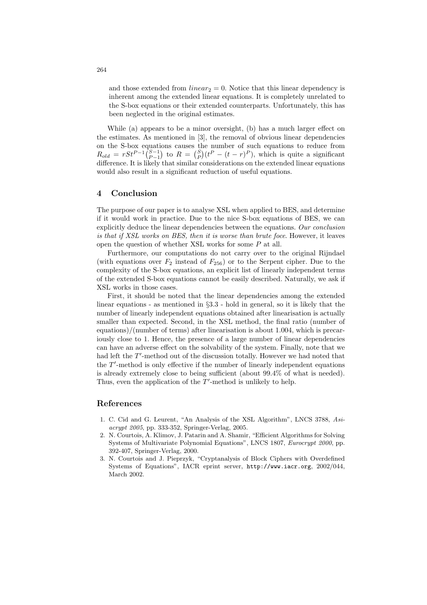and those extended from  $linear_2 = 0$ . Notice that this linear dependency is inherent among the extended linear equations. It is completely unrelated to the S-box equations or their extended counterparts. Unfortunately, this has been neglected in the original estimates.

While (a) appears to be a minor oversight, (b) has a much larger effect on the estimates. As mentioned in [3], the removal of obvious linear dependencies on the S-box equations causes the number of such equations to reduce from on the S-box equations causes the number of such equations to reduce from  $R_{old} = rSt^{P-1} \binom{S-1}{P-1}$  to  $R = \binom{S}{P} (t^P - (t-r)^P)$ , which is quite a significant difference. It is likely that similar considerations on the extended linear equations would also result in a significant reduction of useful equations.

# 4 Conclusion

The purpose of our paper is to analyse XSL when applied to BES, and determine if it would work in practice. Due to the nice S-box equations of BES, we can explicitly deduce the linear dependencies between the equations. Our conclusion is that if XSL works on BES, then it is worse than brute foce. However, it leaves open the question of whether XSL works for some P at all.

Furthermore, our computations do not carry over to the original Rijndael (with equations over  $F_2$  instead of  $F_{256}$ ) or to the Serpent cipher. Due to the complexity of the S-box equations, an explicit list of linearly independent terms of the extended S-box equations cannot be easily described. Naturally, we ask if XSL works in those cases.

First, it should be noted that the linear dependencies among the extended linear equations - as mentioned in §3.3 - hold in general, so it is likely that the number of linearly independent equations obtained after linearisation is actually smaller than expected. Second, in the XSL method, the final ratio (number of equations)/(number of terms) after linearisation is about 1.004, which is precariously close to 1. Hence, the presence of a large number of linear dependencies can have an adverse effect on the solvability of the system. Finally, note that we had left the  $T'$ -method out of the discussion totally. However we had noted that the  $T'$ -method is only effective if the number of linearly independent equations is already extremely close to being sufficient (about 99.4% of what is needed). Thus, even the application of the  $T'$ -method is unlikely to help.

## References

- 1. C. Cid and G. Leurent, "An Analysis of the XSL Algorithm", LNCS 3788, Asiacrypt 2005, pp. 333-352, Springer-Verlag, 2005.
- 2. N. Courtois, A. Klimov, J. Patarin and A. Shamir, "Efficient Algorithms for Solving Systems of Multivariate Polynomial Equations", LNCS 1807, Eurocrypt 2000, pp. 392-407, Springer-Verlag, 2000.
- 3. N. Courtois and J. Pieprzyk, "Cryptanalysis of Block Ciphers with Overdefined Systems of Equations", IACR eprint server, http://www.iacr.org, 2002/044, March 2002.